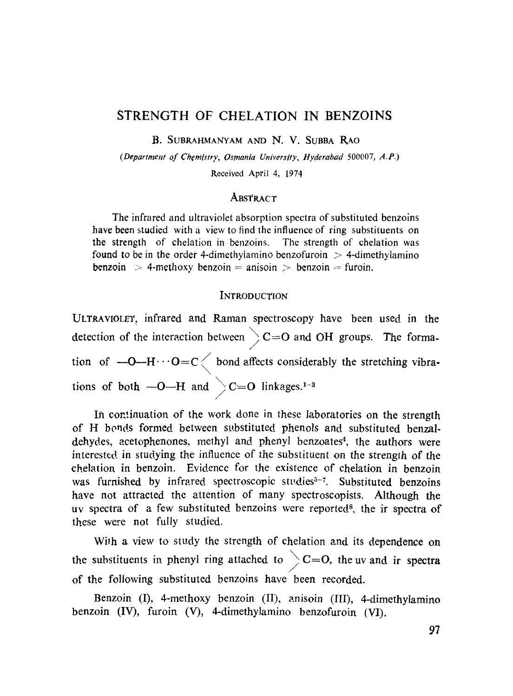# **STRENGTH OF CHELATION IN BENZOINS**

B. SUBRAHMANYAM AND N. V. SUBBA RAO

*(Department of Chemlstry, Osmania Universlty, Hyderabad* 500007, *A.P.)* 

Received April 4, 1974

## **ABSTRACT**

The infrared and ultraviolet absorption spectra of substituted benzoins have been studied with a view to find the influence of ring substituents on the strength of chelation in benzoins. The strength of chelation was found to be in the order 4-dimethylamino benzofuroin  $>$  4-dimethylamino  $benzoin$  > 4-methoxy benzoin = anisoin > benzoin = furoin.

### **INTRODUCTION**

ULTRAVIOLET, infrared and Raman spectroscopy have been used in the detection of the interaction between  $\searrow$  C=O and OH groups. The forma. tion of  $\text{---}H \cdots O = C \left\langle \right.$  bond affects considerably the stretching vibrations of both  $-O-H$  and  $\geq C=O$  linkages.<sup>1-3</sup>

In continuation of the work done in these laboratories on the strength of H bonds formed between substituted phenols and substituted benzaldehydes, acetophenones, methyl and phenyl benzoates<sup>4</sup>, the authors were interested in studying the influence of the substituent on the strength of the chelation in benzoin. Evidence for the existence of chelation in benzoin was furnished by infrared spectroscopic studies<sup>5-7</sup>. Substituted benzoins have not attracted the attention of many spectroscopists. Although the uv spectra of a few substituted benzoins were reported<sup>8</sup>, the ir spectra of these were not fully studied.

With a view to study the strength of chelation and its dependence on the substituents in phenyl ring attached to  $\geq C=O$ , the uv and ir spectra / of the following substituted benzoins have been recorded.

Benzoin (I), 4-methoxy benzoin (II), anisoin (III), 4-dimethylamino benzoin (IV), furoin (V), 4-dimethylamino benzofuroin (VI).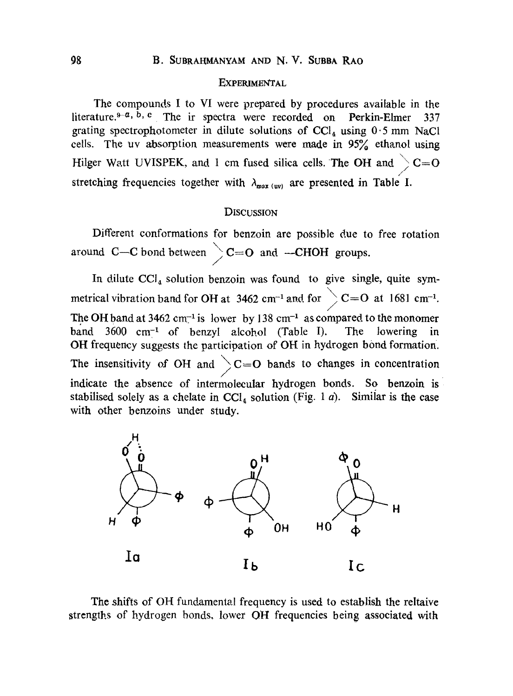#### **EXPERIMENTAL**

The compounds I to VI were prepared by procedures available in the literature.<sup> $9-a$ , b, c</sup> The ir spectra were recorded on Perkin-Elmer 337 grating spectrophotometer in dilute solutions of  $\text{CC}l_4$  using  $0.5$  mm NaCl cells. The uv absorption measurements were made in  $95\%$  ethanol using Hilger Watt UVISPEK, and 1 cm fused silica cells. The OH and  $\bigg\}$  C=0 /. stretching frequencies together with  $\lambda_{max (uv)}$  are presented in Table I.

## DISCUSSION

Different conformations for benzoin are possible due to free rotation around C--C bond between  $\searrow$  C=O and --CHOH groups.

In dilute  $CCI<sub>4</sub>$  solution benzoin was found to give single, quite symmetrical vibration band for OH at 3462 cm<sup>-1</sup> and. for  $\geq$  C=O at 1681 cm<sup>-1</sup>. / The OH band at 3462 cm<sup>-1</sup> is lower by 138 cm<sup>-1</sup> as compared to the monomer band  $3600 \text{ cm}^{-1}$  of benzyl alcohol (Table I). The lowering in OH frequency suggests the participation of OH in hydrogen bond formation. The insensitivity of OH and  $\bigg\}$ C=O bands to changes in concentration / indicate the absence of intermoleeular hydrogen bonds. So benzoin is stabilised solely as a chelate in  $\text{CC}l_4$  solution (Fig. 1 *a*). Similar is the case with other benzoins under study.



The shifts of OH fundamental frequency is used to establish the reltaive strengths of hydrogen bonds, lower OH frequencies being associated with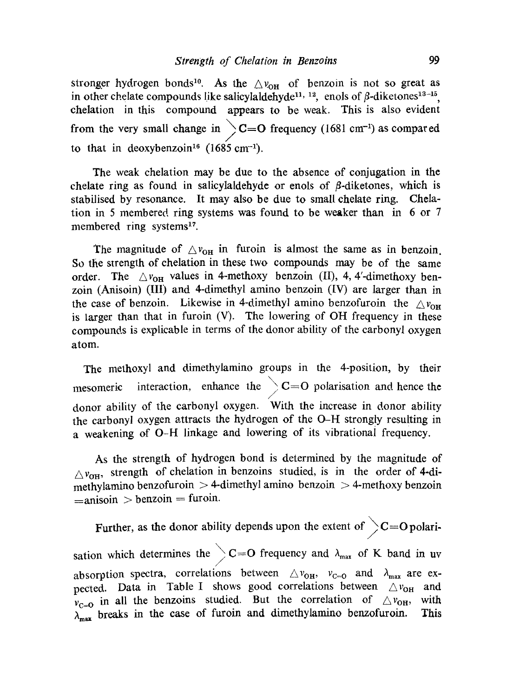stronger hydrogen bonds<sup>10</sup>. As the  $\triangle v_{OH}$  of benzoin is not so great as in other chelate compounds like salicylaldehyde<sup>11, 12</sup>, enols of  $\beta$ -diketones<sup>13-15</sup>, chelation in this compound appears to be weak. This is also evident from the very small change in  $\sum C=O$  frequency (1681 cm<sup>-1</sup>) as compared to that in deoxybenzoin<sup>16</sup> (1685 cm<sup>-1</sup>).

The weak chelation may be due to the absence of conjugation in the chelate ring as found in salicylaldehyde or enols of  $\beta$ -diketones, which is stabilised by resonance. It may also be due to small ehelate ring. Chelation in 5 membered ring systems was found to be weaker than in 6 or 7 membered ring systems<sup>17</sup>.

The magnitude of  $\triangle v_{OH}$  in furoin is almost the same as in benzoin. So the strength of chelation in these two compounds may be of the same order. The  $\triangle v_{OH}$  values in 4-methoxy benzoin (II), 4, 4'-dimethoxy benzoin (Anisoin) (III) and 4-dimethyl amino benzoin (IV) are larger than in the case of benzoin. Likewise in 4-dimethyl amino benzofuroin the  $\triangle v_{\text{OR}}$ is Iarger than that in furoin (V). The lowering of OH frequency in these compounds is explicable in terms of the donor ability of the carbonyl oxygen atom.

The methoxyl and dimethylamino groups in the 4-position, by their mesomeric interaction, enhance the  $\geq$  C=O polarisation and hence the donor ability of the carbonyl oxygen. With the increase in donor ability the carbonyl oxygen attracts the hydrogen of the O-H strongly resulting in a weakening of O-H linkage and lowering of its vibrationai frequency.

As the strength of hydrogen bond is determined by the magnitude of  $\Delta v_{\text{OH}}$ , strength of chelation in benzoins studied, is in the order of 4-dimethylamino benzofuroin  $>$  4-dimethyl amino benzoin  $>$  4-methoxy benzoin  $=$ anisoin  $>$  benzoin  $=$  furoin.

Further, as the donor ability depends upon the extent of  $\gtrsim$  C=O polarisation which determines the  $\geq C=O$  frequency and  $\lambda_{\text{max}}$  of K band in uv absorption spectra, correlations between  $\triangle v_{\text{OH}}$ ,  $v_{\text{C}=0}$  and  $\lambda_{\text{max}}$  are expected. Data in Table I shows good correlations between  $\triangle v_{OH}$  and  $v_{C=0}$  in all the benzoins studied. But the correlation of  $\triangle v_{OH}$ , with  $\overline{\lambda_{\text{max}}}$  breaks in the case of furoin and dimethylamino benzofuroin. This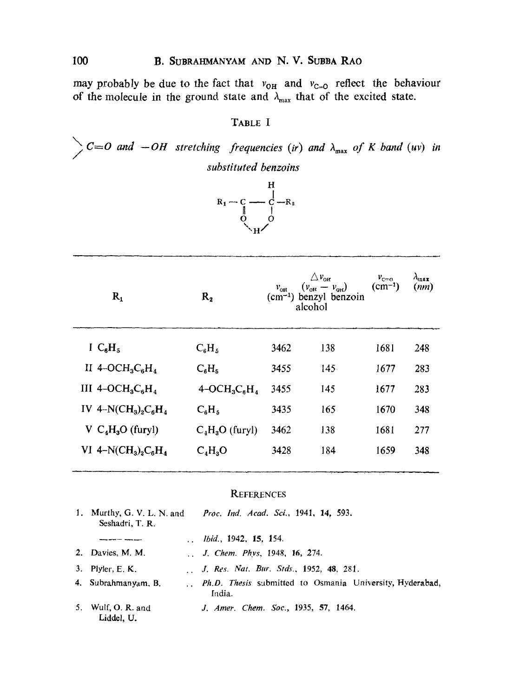may probably be due to the fact that  $v_{OH}$  and  $v_{C=0}$  reflect the behaviour of the molecule in the ground state and  $\lambda_{\text{max}}$  that of the excited state.

## TABLE I

 $\sum_{n=0}^{\infty} C_{n} = 0$  and  $\sum_{n=0}^{\infty} C_{n} = 0$  are stretching frequencies (ir) and  $\lambda_{\max}$  of K band (uv) in substituted benzoins



| $R_1$                  | $R_{2}$                                             | $v_{\rm out}$ | $\bigtriangleup$ $v_{\text{off}}$<br>$(v_{\text{OH}} - v_{\text{OH}})$<br>$(cm-1)$ benzyl benzoin<br>alcohol | $v_{c=0}$<br>$(cm^{-1})$ | $\lambda_{\max}$<br>(mn) |
|------------------------|-----------------------------------------------------|---------------|--------------------------------------------------------------------------------------------------------------|--------------------------|--------------------------|
| I $C_6H_5$             | $C_6H_5$                                            | 3462          | 138                                                                                                          | 1681                     | 248                      |
| II 4-OC $H_3C_6H_4$    | $C_6H_5$                                            | 3455          | 145.                                                                                                         | 1677                     | 283                      |
| III $4-OCH3C6H4$       | $4$ -OCH <sub>3</sub> C <sub>6</sub> H <sub>4</sub> | 3455          | 145                                                                                                          | 1677                     | 283                      |
| IV $4-N(CH_3)_2C_6H_4$ | $C_6H_5$                                            | 3435          | 165                                                                                                          | 1670                     | 348                      |
| $V C4H3O$ (furyl)      | $C_4H_3O$ (furyl)                                   | 3462          | 138                                                                                                          | 1681                     | 277                      |
| VI $4-N(CH_3)_2C_6H_4$ | $C_4H_3O$                                           | 3428          | 184                                                                                                          | 1659                     | 348                      |

#### **REFERENCES**

| 1. Murthy, G. V. L. N. and<br>Seshadri, T. R. | Proc. Ind. Acad. Sci., 1941, 14, 593.                              |
|-----------------------------------------------|--------------------------------------------------------------------|
|                                               | . <i>Ibid.</i> , 1942, 15, 154.                                    |
| 2. Davies, M. M.                              | J. Chem. Phys. 1948, 16, 274.                                      |
| 3. Plyler, $E$ , $K$ .                        | J. Res. Nat. Bur. Stds., 1952, 48, 281.                            |
| 4. Subrahmanyam, B.                           | Ph.D. Thesis submitted to Osmania University, Hyderabad,<br>India. |
| 5. Wulf, O. R. and<br>Liddel, U.              | J. Amer. Chem. Soc., 1935, 57, 1464.                               |

100